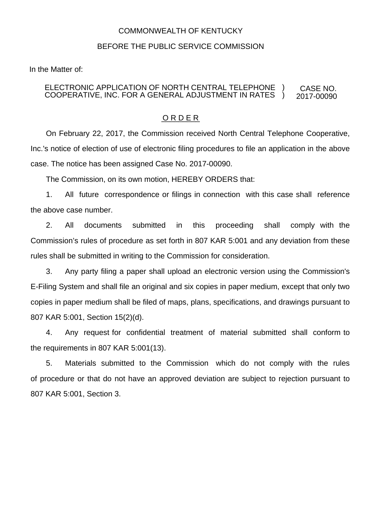## COMMONWEALTH OF KENTUCKY

## BEFORE THE PUBLIC SERVICE COMMISSION

In the Matter of:

## ELECTRONIC APPLICATION OF NORTH CENTRAL TELEPHONE COOPERATIVE, INC. FOR A GENERAL ADJUSTMENT IN RATES CASE NO. 2017-00090 ) )

## O R D E R

On February 22, 2017, the Commission received North Central Telephone Cooperative, Inc.'s notice of election of use of electronic filing procedures to file an application in the above case. The notice has been assigned Case No. 2017-00090.

The Commission, on its own motion, HEREBY ORDERS that:

1. All future correspondence or filings in connection with this case shall reference the above case number.

2. All documents submitted in this proceeding shall comply with the Commission's rules of procedure as set forth in 807 KAR 5:001 and any deviation from these rules shall be submitted in writing to the Commission for consideration.

3. Any party filing a paper shall upload an electronic version using the Commission's E-Filing System and shall file an original and six copies in paper medium, except that only two copies in paper medium shall be filed of maps, plans, specifications, and drawings pursuant to 807 KAR 5:001, Section 15(2)(d).

4. Any request for confidential treatment of material submitted shall conform to the requirements in 807 KAR 5:001(13).

5. Materials submitted to the Commission which do not comply with the rules of procedure or that do not have an approved deviation are subject to rejection pursuant to 807 KAR 5:001, Section 3.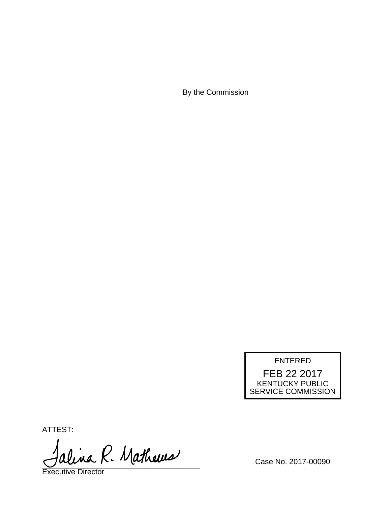By the Commission



ATTEST:

alina R. Mathews

Executive Director

Case No. 2017-00090